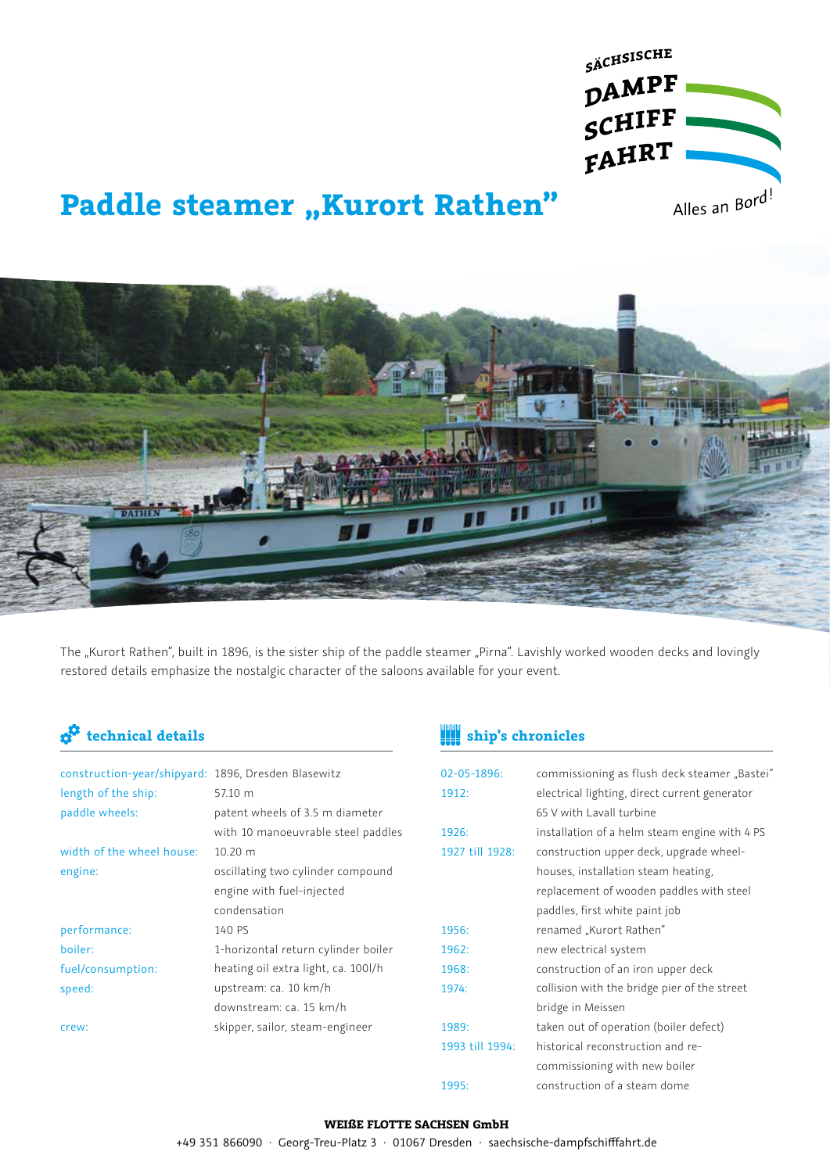

# **Paddle steamer "Kurort Rathen"**



The "Kurort Rathen", built in 1896, is the sister ship of the paddle steamer "Pirna". Lavishly worked wooden decks and lovingly restored details emphasize the nostalgic character of the saloons available for your event.

| construction-year/shipyard: 1896, Dresden Blasewitz |                                     |
|-----------------------------------------------------|-------------------------------------|
| length of the ship:                                 | 57.10 m                             |
| paddle wheels:                                      | patent wheels of 3.5 m diameter     |
|                                                     | with 10 manoeuvrable steel paddles  |
| width of the wheel house:                           | $10.20 \text{ m}$                   |
| engine:                                             | oscillating two cylinder compound   |
|                                                     | engine with fuel-injected           |
|                                                     | condensation                        |
| performance:                                        | 140 PS                              |
| boiler:                                             | 1-horizontal return cylinder boiler |
| fuel/consumption:                                   | heating oil extra light, ca. 100l/h |
| speed:                                              | upstream: ca. 10 km/h               |
|                                                     | downstream: ca. 15 km/h             |
| crew:                                               | skipper, sailor, steam-engineer     |
|                                                     |                                     |

## **technical details ship's chronicles**

| 02-05-1896:     | commissioning as flush deck steamer "Bastei"  |
|-----------------|-----------------------------------------------|
| 1912:           | electrical lighting, direct current generator |
|                 | 65 V with Lavall turbine                      |
| 1926:           | installation of a helm steam engine with 4 PS |
| 1927 till 1928: | construction upper deck, upgrade wheel-       |
|                 | houses, installation steam heating,           |
|                 | replacement of wooden paddles with steel      |
|                 | paddles, first white paint job                |
| 1956:           | renamed "Kurort Rathen"                       |
| 1962:           | new electrical system                         |
| 1968:           | construction of an iron upper deck            |
| 1974:           | collision with the bridge pier of the street  |
|                 | bridge in Meissen                             |
| 1989:           | taken out of operation (boiler defect)        |
| 1993 till 1994: | historical reconstruction and re-             |
|                 | commissioning with new boiler                 |
| 1995:           | construction of a steam dome                  |

### **WEIßE FLOTTE SACHSEN GmbH**